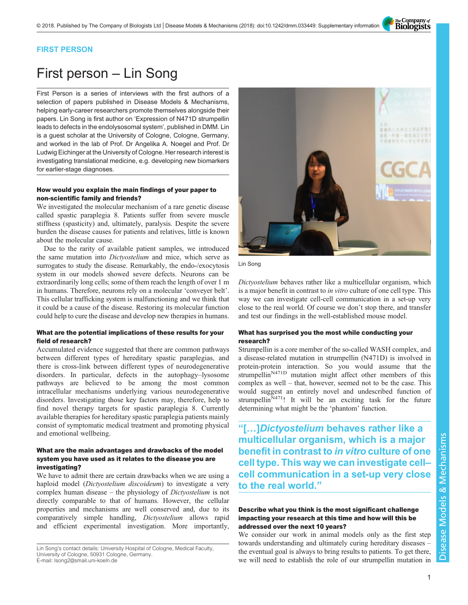The Company of<br>**Biologists** 

# FIRST PERSON

# First person – Lin Song

First Person is a series of interviews with the first authors of a selection of papers published in Disease Models & Mechanisms, helping early-career researchers promote themselves alongside their papers. Lin Song is first author on '[Expression of N471D strumpellin](#page-1-0) [leads to defects in the endolysosomal system](#page-1-0)', published in DMM. Lin is a guest scholar at the University of Cologne, Cologne, Germany, and worked in the lab of Prof. Dr Angelika A. Noegel and Prof. Dr Ludwig Eichinger at the University of Cologne. Her research interest is investigating translational medicine, e.g. developing new biomarkers for earlier-stage diagnoses.

### How would you explain the main findings of your paper to non-scientific family and friends?

We investigated the molecular mechanism of a rare genetic disease called spastic paraplegia 8. Patients suffer from severe muscle stiffness (spasticity) and, ultimately, paralysis. Despite the severe burden the disease causes for patients and relatives, little is known about the molecular cause.

Due to the rarity of available patient samples, we introduced the same mutation into *Dictyostelium* and mice, which serve as surrogates to study the disease. Remarkably, the endo-/exocytosis system in our models showed severe defects. Neurons can be extraordinarily long cells; some of them reach the length of over 1 m in humans. Therefore, neurons rely on a molecular 'conveyer belt'. This cellular trafficking system is malfunctioning and we think that it could be a cause of the disease. Restoring its molecular function could help to cure the disease and develop new therapies in humans.

# What are the potential implications of these results for your field of research?

Accumulated evidence suggested that there are common pathways between different types of hereditary spastic paraplegias, and there is cross-link between different types of neurodegenerative disorders. In particular, defects in the autophagy–lysosome pathways are believed to be among the most common intracellular mechanisms underlying various neurodegenerative disorders. Investigating those key factors may, therefore, help to find novel therapy targets for spastic paraplegia 8. Currently available therapies for hereditary spastic paraplegia patients mainly consist of symptomatic medical treatment and promoting physical and emotional wellbeing.

# What are the main advantages and drawbacks of the model system you have used as it relates to the disease you are investigating?

We have to admit there are certain drawbacks when we are using a haploid model (Dictyostelium discoideum) to investigate a very complex human disease – the physiology of Dictyostelium is not directly comparable to that of humans. However, the cellular properties and mechanisms are well conserved and, due to its comparatively simple handling, Dictyostelium allows rapid and efficient experimental investigation. More importantly,



Lin Song

Dictyostelium behaves rather like a multicellular organism, which is a major benefit in contrast to in vitro culture of one cell type. This way we can investigate cell-cell communication in a set-up very close to the real world. Of course we don't stop there, and transfer and test our findings in the well-established mouse model.

# What has surprised you the most while conducting your research?

Strumpellin is a core member of the so-called WASH complex, and a disease-related mutation in strumpellin (N471D) is involved in protein-protein interaction. So you would assume that the strumpellin<sup>N471D</sup> mutation might affect other members of this complex as well – that, however, seemed not to be the case. This would suggest an entirely novel and undescribed function of strumpellin<sup>N471</sup>! It will be an exciting task for the future determining what might be the 'phantom' function.

"[…]Dictyostelium behaves rather like a multicellular organism, which is a major benefit in contrast to in vitro culture of one cell type. This way we can investigate cell– cell communication in a set-up very close to the real world."

#### Describe what you think is the most significant challenge impacting your research at this time and how will this be addressed over the next 10 years?

We consider our work in animal models only as the first step towards understanding and ultimately curing hereditary diseases – the eventual goal is always to bring results to patients. To get there, we will need to establish the role of our strumpellin mutation in

Lin Song's contact details: University Hospital of Cologne, Medical Faculty, University of Cologne, 50931 Cologne, Germany.

E-mail: [lsong2@smail.uni-koeln.de](mailto:lsong2@smail.uni-koeln.de)